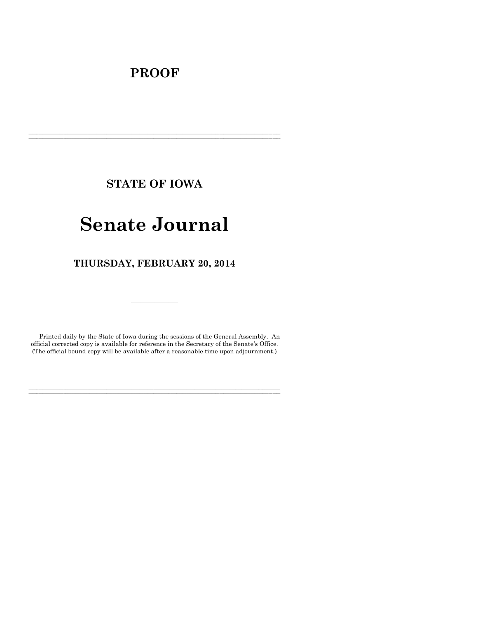# **PROOF**

**STATE OF IOWA**

**\_\_\_\_\_\_\_\_\_\_\_\_\_\_\_\_\_\_\_\_\_\_\_\_\_\_\_\_\_\_\_\_\_\_\_\_\_\_\_\_\_\_\_\_\_\_\_\_\_\_\_\_\_\_\_\_\_\_\_\_\_\_\_\_\_\_\_\_\_\_\_\_\_\_\_\_\_\_\_\_\_\_\_\_\_\_\_\_\_\_\_\_\_\_\_\_\_\_\_\_\_\_\_\_\_\_\_\_\_\_\_\_\_\_\_\_\_\_\_\_\_\_\_\_\_\_\_\_\_ \_\_\_\_\_\_\_\_\_\_\_\_\_\_\_\_\_\_\_\_\_\_\_\_\_\_\_\_\_\_\_\_\_\_\_\_\_\_\_\_\_\_\_\_\_\_\_\_\_\_\_\_\_\_\_\_\_\_\_\_\_\_\_\_\_\_\_\_\_\_\_\_\_\_\_\_\_\_\_\_\_\_\_\_\_\_\_\_\_\_\_\_\_\_\_\_\_\_\_\_\_\_\_\_\_\_\_\_\_\_\_\_\_\_\_\_\_\_\_\_\_\_\_\_\_\_\_\_\_**

# **Senate Journal**

**THURSDAY, FEBRUARY 20, 2014**

Printed daily by the State of Iowa during the sessions of the General Assembly. An official corrected copy is available for reference in the Secretary of the Senate's Office. (The official bound copy will be available after a reasonable time upon adjournment.)

**\_\_\_\_\_\_\_\_\_\_\_\_\_\_\_\_\_\_\_\_\_\_\_\_\_\_\_\_\_\_\_\_\_\_\_\_\_\_\_\_\_\_\_\_\_\_\_\_\_\_\_\_\_\_\_\_\_\_\_\_\_\_\_\_\_\_\_\_\_\_\_\_\_\_\_\_\_\_\_\_\_\_\_\_\_\_\_\_\_\_\_\_\_\_\_\_\_\_\_\_\_\_\_\_\_\_\_\_\_\_\_\_\_\_\_\_\_\_\_\_\_\_\_\_\_\_\_\_\_ \_\_\_\_\_\_\_\_\_\_\_\_\_\_\_\_\_\_\_\_\_\_\_\_\_\_\_\_\_\_\_\_\_\_\_\_\_\_\_\_\_\_\_\_\_\_\_\_\_\_\_\_\_\_\_\_\_\_\_\_\_\_\_\_\_\_\_\_\_\_\_\_\_\_\_\_\_\_\_\_\_\_\_\_\_\_\_\_\_\_\_\_\_\_\_\_\_\_\_\_\_\_\_\_\_\_\_\_\_\_\_\_\_\_\_\_\_\_\_\_\_\_\_\_\_\_\_\_\_**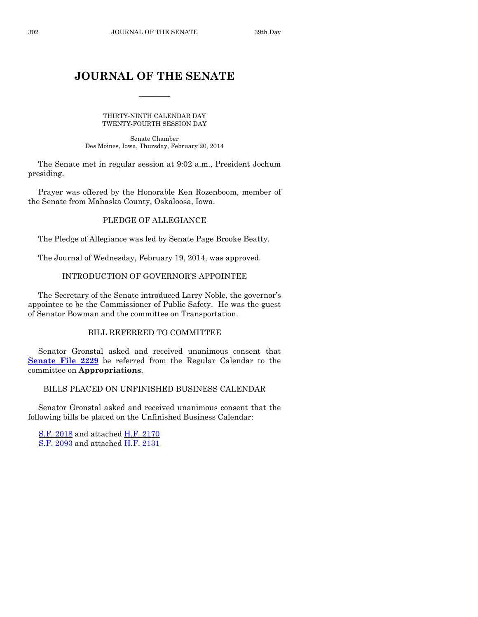# **JOURNAL OF THE SENATE**

 $\frac{1}{2}$ 

THIRTY-NINTH CALENDAR DAY TWENTY-FOURTH SESSION DAY

Senate Chamber Des Moines, Iowa, Thursday, February 20, 2014

The Senate met in regular session at 9:02 a.m., President Jochum presiding.

Prayer was offered by the Honorable Ken Rozenboom, member of the Senate from Mahaska County, Oskaloosa, Iowa.

# PLEDGE OF ALLEGIANCE

The Pledge of Allegiance was led by Senate Page Brooke Beatty.

The Journal of Wednesday, February 19, 2014, was approved.

# INTRODUCTION OF GOVERNOR'S APPOINTEE

The Secretary of the Senate introduced Larry Noble, the governor's appointee to be the Commissioner of Public Safety. He was the guest of Senator Bowman and the committee on Transportation.

# BILL REFERRED TO COMMITTEE

Senator Gronstal asked and received unanimous consent that **[Senate File 2229](http://coolice.legis.iowa.gov/Cool-ICE/default.asp?Category=billinfo&Service=Billbook&frame=1&GA=85&hbill=SF2229)** be referred from the Regular Calendar to the committee on **Appropriations**.

BILLS PLACED ON UNFINISHED BUSINESS CALENDAR

Senator Gronstal asked and received unanimous consent that the following bills be placed on the Unfinished Business Calendar:

S.F. [2018](http://coolice.legis.iowa.gov/Cool-ICE/default.asp?Category=billinfo&Service=Billbook&frame=1&GA=85&hbill=SF2018) and attached [H.F.](http://coolice.legis.iowa.gov/Cool-ICE/default.asp?Category=billinfo&Service=Billbook&frame=1&GA=85&hbill=HF2170) 2170 S.F. [2093](http://coolice.legis.iowa.gov/Cool-ICE/default.asp?Category=billinfo&Service=Billbook&frame=1&GA=85&hbill=SF2093) and attached [H.F.](http://coolice.legis.iowa.gov/Cool-ICE/default.asp?Category=billinfo&Service=Billbook&frame=1&GA=85&hbill=HF2131) 2131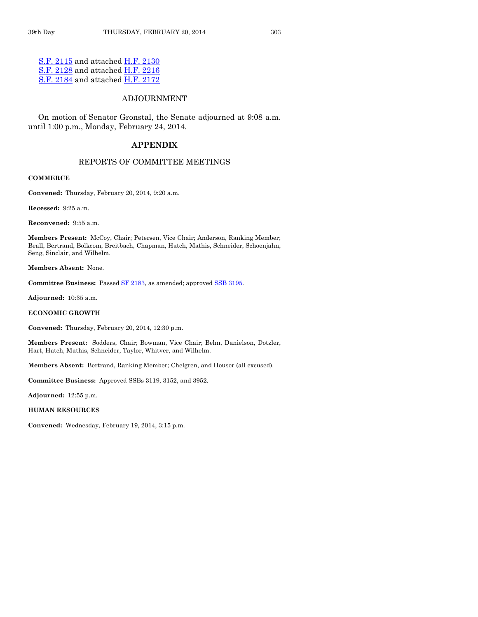S.F. [2115](http://coolice.legis.iowa.gov/Cool-ICE/default.asp?Category=billinfo&Service=Billbook&frame=1&GA=85&hbill=SF2115) and attached [H.F.](http://coolice.legis.iowa.gov/Cool-ICE/default.asp?Category=billinfo&Service=Billbook&frame=1&GA=85&hbill=HF2130) 2130 S.F. [2128](http://coolice.legis.iowa.gov/Cool-ICE/default.asp?Category=billinfo&Service=Billbook&frame=1&GA=85&hbill=SF2128) and attached [H.F.](http://coolice.legis.iowa.gov/Cool-ICE/default.asp?Category=billinfo&Service=Billbook&frame=1&GA=85&hbill=HF2216) 2216 S.F. [2184](http://coolice.legis.iowa.gov/Cool-ICE/default.asp?Category=billinfo&Service=Billbook&frame=1&GA=85&hbill=SF2184) and attached [H.F.](http://coolice.legis.iowa.gov/Cool-ICE/default.asp?Category=billinfo&Service=Billbook&frame=1&GA=85&hbill=HF2172) 2172

# ADJOURNMENT

On motion of Senator Gronstal, the Senate adjourned at 9:08 a.m. until 1:00 p.m., Monday, February 24, 2014.

## **APPENDIX**

#### REPORTS OF COMMITTEE MEETINGS

#### **COMMERCE**

**Convened:** Thursday, February 20, 2014, 9:20 a.m.

**Recessed:** 9:25 a.m.

**Reconvened:** 9:55 a.m.

**Members Present:** McCoy, Chair; Petersen, Vice Chair; Anderson, Ranking Member; Beall, Bertrand, Bolkcom, Breitbach, Chapman, Hatch, Mathis, Schneider, Schoenjahn, Seng, Sinclair, and Wilhelm.

**Members Absent:** None.

Committee Business: Passed **SF 2183**, as amended; approved **SSB 3195**.

**Adjourned:** 10:35 a.m.

**ECONOMIC GROWTH**

**Convened:** Thursday, February 20, 2014, 12:30 p.m.

**Members Present:** Sodders, Chair; Bowman, Vice Chair; Behn, Danielson, Dotzler, Hart, Hatch, Mathis, Schneider, Taylor, Whitver, and Wilhelm.

**Members Absent:** Bertrand, Ranking Member; Chelgren, and Houser (all excused).

**Committee Business:** Approved SSBs 3119, 3152, and 3952.

**Adjourned:** 12:55 p.m.

**HUMAN RESOURCES**

**Convened:** Wednesday, February 19, 2014, 3:15 p.m.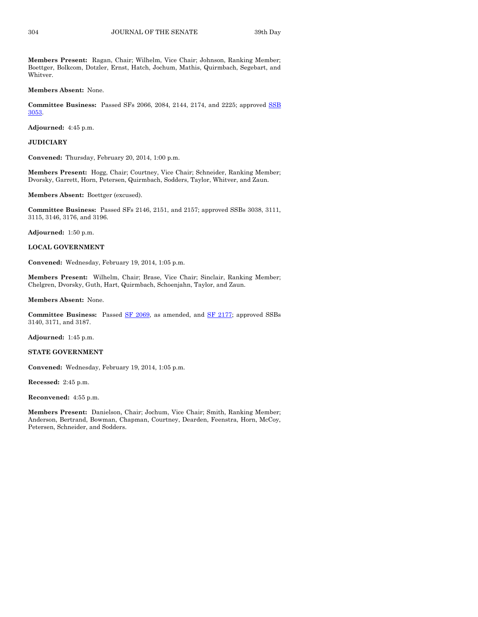**Members Present:** Ragan, Chair; Wilhelm, Vice Chair; Johnson, Ranking Member; Boettger, Bolkcom, Dotzler, Ernst, Hatch, Jochum, Mathis, Quirmbach, Segebart, and Whitver.

**Members Absent:** None.

**Committee Business:** Passed SFs 2066, 2084, 2144, 2174, and 2225; approved [SSB](http://coolice.legis.iowa.gov/Cool-ICE/default.asp?Category=billinfo&Service=Billbook&frame=1&GA=85&hbill=SSB3053)  [3053.](http://coolice.legis.iowa.gov/Cool-ICE/default.asp?Category=billinfo&Service=Billbook&frame=1&GA=85&hbill=SSB3053)

**Adjourned:** 4:45 p.m.

**JUDICIARY**

**Convened:** Thursday, February 20, 2014, 1:00 p.m.

**Members Present:** Hogg, Chair; Courtney, Vice Chair; Schneider, Ranking Member; Dvorsky, Garrett, Horn, Petersen, Quirmbach, Sodders, Taylor, Whitver, and Zaun.

**Members Absent:** Boettger (excused).

**Committee Business:** Passed SFs 2146, 2151, and 2157; approved SSBs 3038, 3111, 3115, 3146, 3176, and 3196.

**Adjourned:** 1:50 p.m.

**LOCAL GOVERNMENT**

**Convened:** Wednesday, February 19, 2014, 1:05 p.m.

**Members Present:** Wilhelm, Chair; Brase, Vice Chair; Sinclair, Ranking Member; Chelgren, Dvorsky, Guth, Hart, Quirmbach, Schoenjahn, Taylor, and Zaun.

**Members Absent:** None.

**Committee Business:** Passed [SF 2069,](http://coolice.legis.iowa.gov/Cool-ICE/default.asp?Category=billinfo&Service=Billbook&frame=1&GA=85&hbill=SF2069) as amended, and [SF 2177;](http://coolice.legis.iowa.gov/Cool-ICE/default.asp?Category=billinfo&Service=Billbook&frame=1&GA=85&hbill=SF2177) approved SSBs 3140, 3171, and 3187.

**Adjourned:** 1:45 p.m.

#### **STATE GOVERNMENT**

**Convened:** Wednesday, February 19, 2014, 1:05 p.m.

**Recessed:** 2:45 p.m.

**Reconvened:** 4:55 p.m.

**Members Present:** Danielson, Chair; Jochum, Vice Chair; Smith, Ranking Member; Anderson, Bertrand, Bowman, Chapman, Courtney, Dearden, Feenstra, Horn, McCoy, Petersen, Schneider, and Sodders.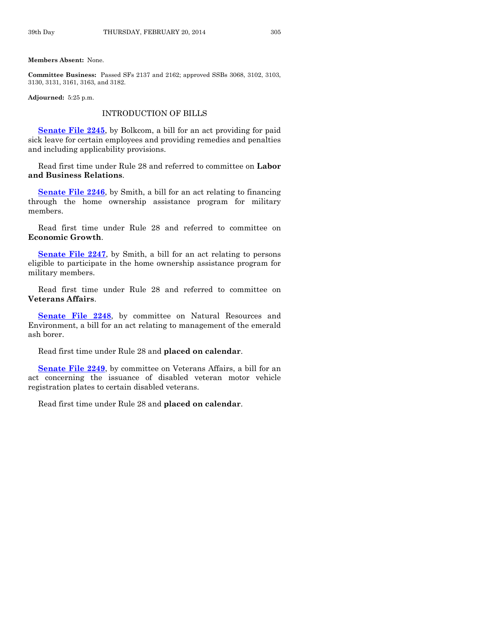#### **Members Absent:** None.

**Committee Business:** Passed SFs 2137 and 2162; approved SSBs 3068, 3102, 3103, 3130, 3131, 3161, 3163, and 3182.

**Adjourned:** 5:25 p.m.

## INTRODUCTION OF BILLS

**[Senate File 2245](http://coolice.legis.iowa.gov/Cool-ICE/default.asp?Category=billinfo&Service=Billbook&frame=1&GA=85&hbill=SF2245)**, by Bolkcom, a bill for an act providing for paid sick leave for certain employees and providing remedies and penalties and including applicability provisions.

Read first time under Rule 28 and referred to committee on **Labor and Business Relations**.

**[Senate File 2246](http://coolice.legis.iowa.gov/Cool-ICE/default.asp?Category=billinfo&Service=Billbook&frame=1&GA=85&hbill=SF2246)**, by Smith, a bill for an act relating to financing through the home ownership assistance program for military members.

Read first time under Rule 28 and referred to committee on **Economic Growth**.

**[Senate File 2247](http://coolice.legis.iowa.gov/Cool-ICE/default.asp?Category=billinfo&Service=Billbook&frame=1&GA=85&hbill=SF2247)**, by Smith, a bill for an act relating to persons eligible to participate in the home ownership assistance program for military members.

Read first time under Rule 28 and referred to committee on **Veterans Affairs**.

**[Senate File 2248](http://coolice.legis.iowa.gov/Cool-ICE/default.asp?Category=billinfo&Service=Billbook&frame=1&GA=85&hbill=SF2248)**, by committee on Natural Resources and Environment, a bill for an act relating to management of the emerald ash borer.

# Read first time under Rule 28 and **placed on calendar**.

**[Senate File 2249](http://coolice.legis.iowa.gov/Cool-ICE/default.asp?Category=billinfo&Service=Billbook&frame=1&GA=85&hbill=SF2249)**, by committee on Veterans Affairs, a bill for an act concerning the issuance of disabled veteran motor vehicle registration plates to certain disabled veterans.

Read first time under Rule 28 and **placed on calendar**.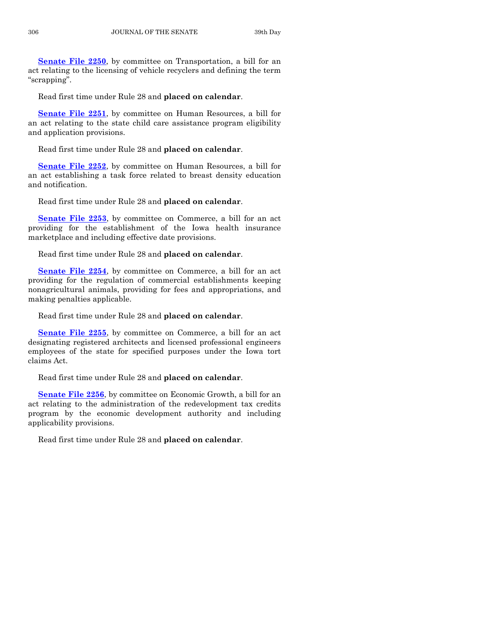**[Senate File 2250](http://coolice.legis.iowa.gov/Cool-ICE/default.asp?Category=billinfo&Service=Billbook&frame=1&GA=85&hbill=SF2250)**, by committee on Transportation, a bill for an act relating to the licensing of vehicle recyclers and defining the term "scrapping".

Read first time under Rule 28 and **placed on calendar**.

**[Senate File 2251](http://coolice.legis.iowa.gov/Cool-ICE/default.asp?Category=billinfo&Service=Billbook&frame=1&GA=85&hbill=SF2251)**, by committee on Human Resources, a bill for an act relating to the state child care assistance program eligibility and application provisions.

Read first time under Rule 28 and **placed on calendar**.

**[Senate File 2252](http://coolice.legis.iowa.gov/Cool-ICE/default.asp?Category=billinfo&Service=Billbook&frame=1&GA=85&hbill=SF2252)**, by committee on Human Resources, a bill for an act establishing a task force related to breast density education and notification.

Read first time under Rule 28 and **placed on calendar**.

**[Senate File 2253](http://coolice.legis.iowa.gov/Cool-ICE/default.asp?Category=billinfo&Service=Billbook&frame=1&GA=85&hbill=SF2253)**, by committee on Commerce, a bill for an act providing for the establishment of the Iowa health insurance marketplace and including effective date provisions.

Read first time under Rule 28 and **placed on calendar**.

**[Senate File 2254](http://coolice.legis.iowa.gov/Cool-ICE/default.asp?Category=billinfo&Service=Billbook&frame=1&GA=85&hbill=SF2254)**, by committee on Commerce, a bill for an act providing for the regulation of commercial establishments keeping nonagricultural animals, providing for fees and appropriations, and making penalties applicable.

Read first time under Rule 28 and **placed on calendar**.

**[Senate File 2255](http://coolice.legis.iowa.gov/Cool-ICE/default.asp?Category=billinfo&Service=Billbook&frame=1&GA=85&hbill=SF2255)**, by committee on Commerce, a bill for an act designating registered architects and licensed professional engineers employees of the state for specified purposes under the Iowa tort claims Act.

Read first time under Rule 28 and **placed on calendar**.

**[Senate File 2256](http://coolice.legis.iowa.gov/Cool-ICE/default.asp?Category=billinfo&Service=Billbook&frame=1&GA=85&hbill=SF2256)**, by committee on Economic Growth, a bill for an act relating to the administration of the redevelopment tax credits program by the economic development authority and including applicability provisions.

Read first time under Rule 28 and **placed on calendar**.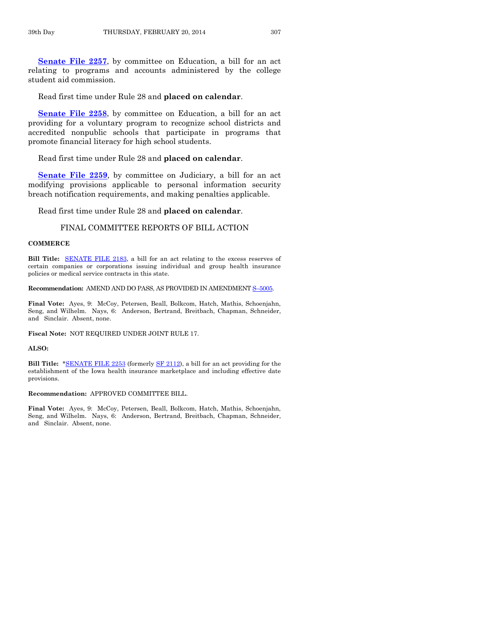**[Senate File 2257](http://coolice.legis.iowa.gov/Cool-ICE/default.asp?Category=billinfo&Service=Billbook&frame=1&GA=85&hbill=SF2257)**, by committee on Education, a bill for an act relating to programs and accounts administered by the college student aid commission.

Read first time under Rule 28 and **placed on calendar**.

**[Senate File 2258](http://coolice.legis.iowa.gov/Cool-ICE/default.asp?Category=billinfo&Service=Billbook&frame=1&GA=85&hbill=SF2258)**, by committee on Education, a bill for an act providing for a voluntary program to recognize school districts and accredited nonpublic schools that participate in programs that promote financial literacy for high school students.

#### Read first time under Rule 28 and **placed on calendar**.

**[Senate File 2259](http://coolice.legis.iowa.gov/Cool-ICE/default.asp?Category=billinfo&Service=Billbook&frame=1&GA=85&hbill=SF2259)**, by committee on Judiciary, a bill for an act modifying provisions applicable to personal information security breach notification requirements, and making penalties applicable.

Read first time under Rule 28 and **placed on calendar**.

### FINAL COMMITTEE REPORTS OF BILL ACTION

#### **COMMERCE**

**Bill Title:** [SENATE FILE](http://coolice.legis.iowa.gov/Cool-ICE/default.asp?Category=billinfo&Service=Billbook&frame=1&GA=85&hbill=SF2183) 2183, a bill for an act relating to the excess reserves of certain companies or corporations issuing individual and group health insurance policies or medical service contracts in this state.

#### **Recommendation:** AMEND AND DO PASS, AS PROVIDED IN AMENDMENT S–[5005.](http://coolice.legis.iowa.gov/Cool-ICE/default.asp?Category=billinfo&Service=Billbook&frame=1&GA=85&hbill=S5005)

**Final Vote:** Ayes, 9: McCoy, Petersen, Beall, Bolkcom, Hatch, Mathis, Schoenjahn, Seng, and Wilhelm. Nays, 6: Anderson, Bertrand, Breitbach, Chapman, Schneider, and Sinclair. Absent, none.

**Fiscal Note:** NOT REQUIRED UNDER JOINT RULE 17.

#### **ALSO:**

**Bill Title:** [\\*SENATE FILE](http://coolice.legis.iowa.gov/Cool-ICE/default.asp?Category=billinfo&Service=Billbook&frame=1&GA=85&hbill=SF2253) 2253 (formerly [SF 2112\)](http://coolice.legis.iowa.gov/Cool-ICE/default.asp?Category=billinfo&Service=Billbook&frame=1&GA=85&hbill=SF2112), a bill for an act providing for the establishment of the Iowa health insurance marketplace and including effective date provisions.

#### **Recommendation:** APPROVED COMMITTEE BILL.

**Final Vote:** Ayes, 9: McCoy, Petersen, Beall, Bolkcom, Hatch, Mathis, Schoenjahn, Seng, and Wilhelm. Nays, 6: Anderson, Bertrand, Breitbach, Chapman, Schneider, and Sinclair. Absent, none.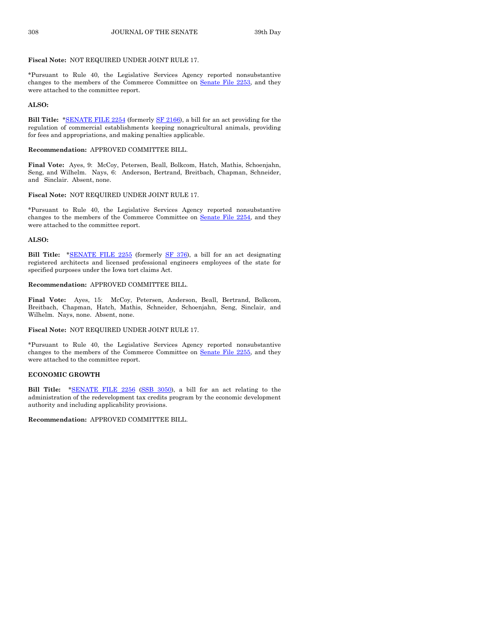#### **Fiscal Note:** NOT REQUIRED UNDER JOINT RULE 17.

\*Pursuant to Rule 40, the Legislative Services Agency reported nonsubstantive changes to the members of the Commerce Committee on Senate [File 2253,](http://coolice.legis.iowa.gov/Cool-ICE/default.asp?Category=billinfo&Service=Billbook&frame=1&GA=85&hbill=SF2253) and they were attached to the committee report.

#### **ALSO:**

**Bill Title:** [\\*SENATE FILE 2254](http://coolice.legis.iowa.gov/Cool-ICE/default.asp?Category=billinfo&Service=Billbook&frame=1&GA=85&hbill=SF2254) (formerly [SF 2166\)](http://coolice.legis.iowa.gov/Cool-ICE/default.asp?Category=billinfo&Service=Billbook&frame=1&GA=85&hbill=SF2166), a bill for an act providing for the regulation of commercial establishments keeping nonagricultural animals, providing for fees and appropriations, and making penalties applicable.

#### **Recommendation:** APPROVED COMMITTEE BILL.

**Final Vote:** Ayes, 9: McCoy, Petersen, Beall, Bolkcom, Hatch, Mathis, Schoenjahn, Seng, and Wilhelm. Nays, 6: Anderson, Bertrand, Breitbach, Chapman, Schneider, and Sinclair. Absent, none.

#### **Fiscal Note:** NOT REQUIRED UNDER JOINT RULE 17.

\*Pursuant to Rule 40, the Legislative Services Agency reported nonsubstantive changes to the members of the Commerce Committee on Senate [File 2254,](http://coolice.legis.iowa.gov/Cool-ICE/default.asp?Category=billinfo&Service=Billbook&frame=1&GA=85&hbill=SF2254) and they were attached to the committee report.

#### **ALSO:**

**Bill Title:** [\\*SENATE FILE](http://coolice.legis.iowa.gov/Cool-ICE/default.asp?Category=billinfo&Service=Billbook&frame=1&GA=85&hbill=SF2255) 2255 (formerly [SF 376\)](http://coolice.legis.iowa.gov/Cool-ICE/default.asp?Category=billinfo&Service=Billbook&frame=1&GA=85&hbill=SF376), a bill for an act designating registered architects and licensed professional engineers employees of the state for specified purposes under the Iowa tort claims Act.

#### **Recommendation:** APPROVED COMMITTEE BILL.

**Final Vote:** Ayes, 15: McCoy, Petersen, Anderson, Beall, Bertrand, Bolkcom, Breitbach, Chapman, Hatch, Mathis, Schneider, Schoenjahn, Seng, Sinclair, and Wilhelm. Nays, none. Absent, none.

#### **Fiscal Note:** NOT REQUIRED UNDER JOINT RULE 17.

\*Pursuant to Rule 40, the Legislative Services Agency reported nonsubstantive changes to the members of the Commerce Committee on Senate [File 2255,](http://coolice.legis.iowa.gov/Cool-ICE/default.asp?Category=billinfo&Service=Billbook&frame=1&GA=85&hbill=SF2255) and they were attached to the committee report.

#### **ECONOMIC GROWTH**

Bill Title: [\\*SENATE FILE](http://coolice.legis.iowa.gov/Cool-ICE/default.asp?Category=billinfo&Service=Billbook&frame=1&GA=85&hbill=SF2256) 2256 [\(SSB 3050\)](http://coolice.legis.iowa.gov/Cool-ICE/default.asp?Category=billinfo&Service=Billbook&frame=1&GA=85&hbill=SSB3050), a bill for an act relating to the administration of the redevelopment tax credits program by the economic development authority and including applicability provisions.

**Recommendation:** APPROVED COMMITTEE BILL.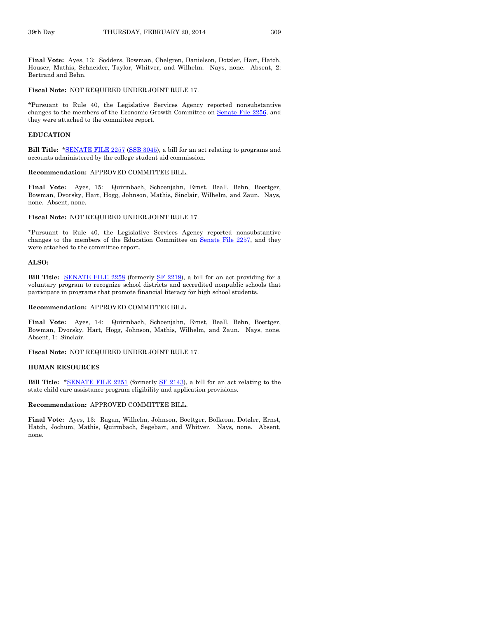**Final Vote:** Ayes, 13: Sodders, Bowman, Chelgren, Danielson, Dotzler, Hart, Hatch, Houser, Mathis, Schneider, Taylor, Whitver, and Wilhelm. Nays, none. Absent, 2: Bertrand and Behn.

#### **Fiscal Note:** NOT REQUIRED UNDER JOINT RULE 17.

\*Pursuant to Rule 40, the Legislative Services Agency reported nonsubstantive changes to the members of the Economic Growth Committee on Senate [File 2256,](http://coolice.legis.iowa.gov/Cool-ICE/default.asp?Category=billinfo&Service=Billbook&frame=1&GA=85&hbill=SF2256) and they were attached to the committee report.

#### **EDUCATION**

**Bill Title:** [\\*SENATE FILE](http://coolice.legis.iowa.gov/Cool-ICE/default.asp?Category=billinfo&Service=Billbook&frame=1&GA=85&hbill=SF2257) 2257 [\(SSB 3045\)](http://coolice.legis.iowa.gov/Cool-ICE/default.asp?Category=billinfo&Service=Billbook&frame=1&GA=85&hbill=SSB3045), a bill for an act relating to programs and accounts administered by the college student aid commission.

#### **Recommendation:** APPROVED COMMITTEE BILL.

**Final Vote:** Ayes, 15: Quirmbach, Schoenjahn, Ernst, Beall, Behn, Boettger, Bowman, Dvorsky, Hart, Hogg, Johnson, Mathis, Sinclair, Wilhelm, and Zaun. Nays, none. Absent, none.

#### **Fiscal Note:** NOT REQUIRED UNDER JOINT RULE 17.

\*Pursuant to Rule 40, the Legislative Services Agency reported nonsubstantive changes to the members of the Education Committee on Senate [File 2257,](http://coolice.legis.iowa.gov/Cool-ICE/default.asp?Category=billinfo&Service=Billbook&frame=1&GA=85&hbill=SF2257) and they were attached to the committee report.

#### **ALSO:**

**Bill Title:** [SENATE FILE](http://coolice.legis.iowa.gov/Cool-ICE/default.asp?Category=billinfo&Service=Billbook&frame=1&GA=85&hbill=SF2258) 2258 (formerly [SF 2219\)](http://coolice.legis.iowa.gov/Cool-ICE/default.asp?Category=billinfo&Service=Billbook&frame=1&GA=85&hbill=SF2219), a bill for an act providing for a voluntary program to recognize school districts and accredited nonpublic schools that participate in programs that promote financial literacy for high school students.

#### **Recommendation:** APPROVED COMMITTEE BILL.

**Final Vote:** Ayes, 14: Quirmbach, Schoenjahn, Ernst, Beall, Behn, Boettger, Bowman, Dvorsky, Hart, Hogg, Johnson, Mathis, Wilhelm, and Zaun. Nays, none. Absent, 1: Sinclair.

**Fiscal Note:** NOT REQUIRED UNDER JOINT RULE 17.

#### **HUMAN RESOURCES**

**Bill Title:** [\\*SENATE FILE 2251](http://coolice.legis.iowa.gov/Cool-ICE/default.asp?Category=billinfo&Service=Billbook&frame=1&GA=85&hbill=SF2251) (formerly [SF 2143\)](http://coolice.legis.iowa.gov/Cool-ICE/default.asp?Category=billinfo&Service=Billbook&frame=1&GA=85&hbill=SF2143), a bill for an act relating to the state child care assistance program eligibility and application provisions.

#### **Recommendation:** APPROVED COMMITTEE BILL.

**Final Vote:** Ayes, 13: Ragan, Wilhelm, Johnson, Boettger, Bolkcom, Dotzler, Ernst, Hatch, Jochum, Mathis, Quirmbach, Segebart, and Whitver. Nays, none. Absent, none.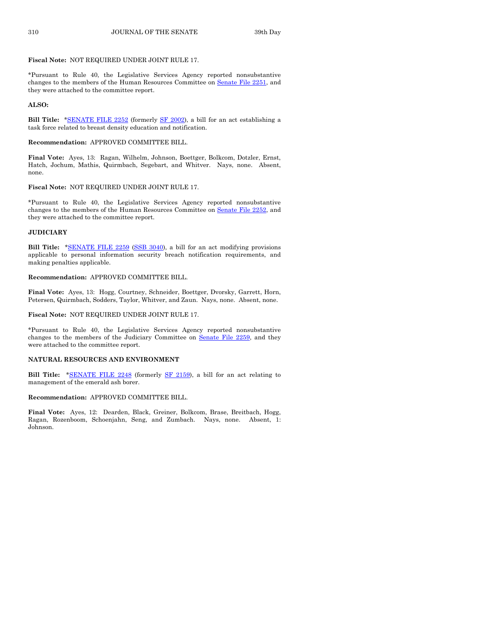#### **Fiscal Note:** NOT REQUIRED UNDER JOINT RULE 17.

\*Pursuant to Rule 40, the Legislative Services Agency reported nonsubstantive changes to the members of the Human Resources Committee on Senate [File 2251,](http://coolice.legis.iowa.gov/Cool-ICE/default.asp?Category=billinfo&Service=Billbook&frame=1&GA=85&hbill=SF2251) and they were attached to the committee report.

#### **ALSO:**

**Bill Title:** [\\*SENATE FILE 2252](http://coolice.legis.iowa.gov/Cool-ICE/default.asp?Category=billinfo&Service=Billbook&frame=1&GA=85&hbill=SF2252) (formerly [SF 2002\)](http://coolice.legis.iowa.gov/Cool-ICE/default.asp?Category=billinfo&Service=Billbook&frame=1&GA=85&hbill=SF2002), a bill for an act establishing a task force related to breast density education and notification.

#### **Recommendation:** APPROVED COMMITTEE BILL.

**Final Vote:** Ayes, 13: Ragan, Wilhelm, Johnson, Boettger, Bolkcom, Dotzler, Ernst, Hatch, Jochum, Mathis, Quirmbach, Segebart, and Whitver. Nays, none. Absent, none.

#### **Fiscal Note:** NOT REQUIRED UNDER JOINT RULE 17.

\*Pursuant to Rule 40, the Legislative Services Agency reported nonsubstantive changes to the members of the Human Resources Committee on Senate [File 2252,](http://coolice.legis.iowa.gov/Cool-ICE/default.asp?Category=billinfo&Service=Billbook&frame=1&GA=85&hbill=SF2252) and they were attached to the committee report.

#### **JUDICIARY**

**Bill Title:** [\\*SENATE FILE](http://coolice.legis.iowa.gov/Cool-ICE/default.asp?Category=billinfo&Service=Billbook&frame=1&GA=85&hbill=SF2259) 2259 [\(SSB 3040\)](http://coolice.legis.iowa.gov/Cool-ICE/default.asp?Category=billinfo&Service=Billbook&frame=1&GA=85&hbill=SSB3040), a bill for an act modifying provisions applicable to personal information security breach notification requirements, and making penalties applicable.

#### **Recommendation:** APPROVED COMMITTEE BILL.

**Final Vote:** Ayes, 13: Hogg, Courtney, Schneider, Boettger, Dvorsky, Garrett, Horn, Petersen, Quirmbach, Sodders, Taylor, Whitver, and Zaun. Nays, none. Absent, none.

#### **Fiscal Note:** NOT REQUIRED UNDER JOINT RULE 17.

\*Pursuant to Rule 40, the Legislative Services Agency reported nonsubstantive changes to the members of the Judiciary Committee on Senate [File 2259,](http://coolice.legis.iowa.gov/Cool-ICE/default.asp?Category=billinfo&Service=Billbook&frame=1&GA=85&hbill=SF2259) and they were attached to the committee report.

#### **NATURAL RESOURCES AND ENVIRONMENT**

**Bill Title:** [\\*SENATE FILE 2248](http://coolice.legis.iowa.gov/Cool-ICE/default.asp?Category=billinfo&Service=Billbook&frame=1&GA=85&hbill=SF2248) (formerly [SF 2159\),](http://coolice.legis.iowa.gov/Cool-ICE/default.asp?Category=billinfo&Service=Billbook&frame=1&GA=85&hbill=SF2159) a bill for an act relating to management of the emerald ash borer.

#### **Recommendation:** APPROVED COMMITTEE BILL.

**Final Vote:** Ayes, 12: Dearden, Black, Greiner, Bolkcom, Brase, Breitbach, Hogg, Ragan, Rozenboom, Schoenjahn, Seng, and Zumbach. Nays, none. Absent, 1: Johnson.